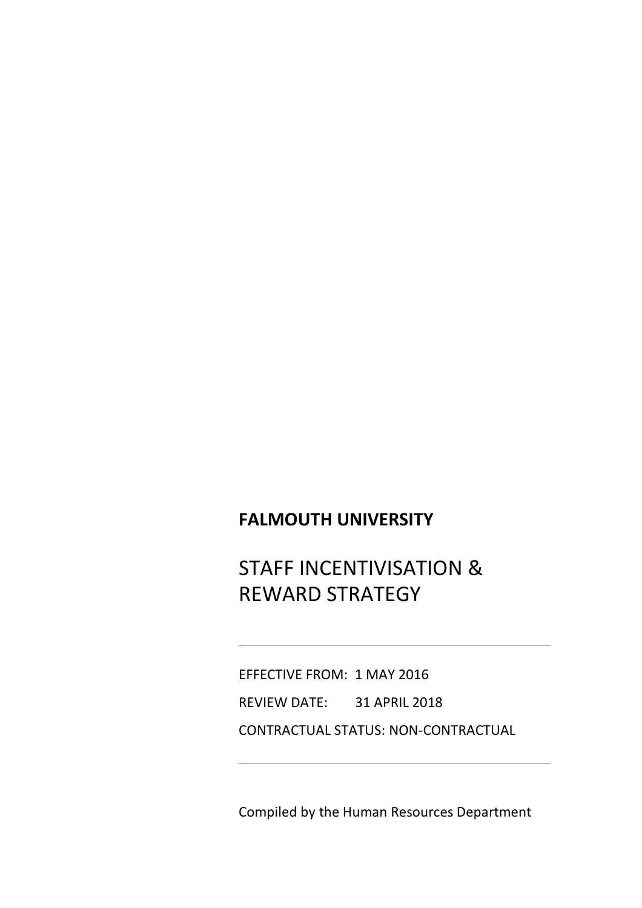# **FALMOUTH UNIVERSITY**

STAFF INCENTIVISATION & REWARD STRATEGY

EFFECTIVE FROM: 1 MAY 2016 REVIEW DATE: 31 APRIL 2018 CONTRACTUAL STATUS: NON-CONTRACTUAL

Compiled by the Human Resources Department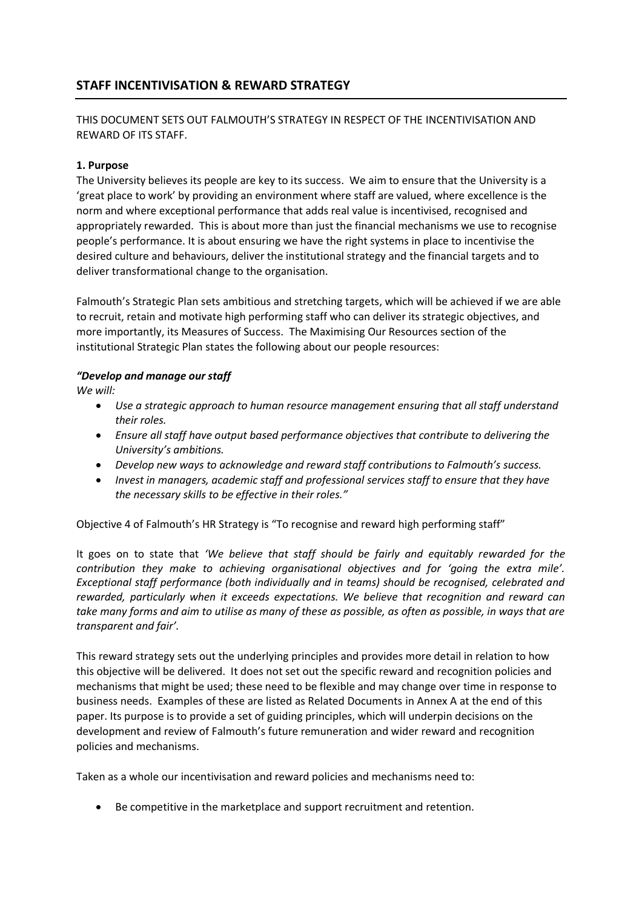# **STAFF INCENTIVISATION & REWARD STRATEGY**

## THIS DOCUMENT SETS OUT FALMOUTH'S STRATEGY IN RESPECT OF THE INCENTIVISATION AND REWARD OF ITS STAFF.

#### **1. Purpose**

The University believes its people are key to its success. We aim to ensure that the University is a 'great place to work' by providing an environment where staff are valued, where excellence is the norm and where exceptional performance that adds real value is incentivised, recognised and appropriately rewarded. This is about more than just the financial mechanisms we use to recognise people's performance. It is about ensuring we have the right systems in place to incentivise the desired culture and behaviours, deliver the institutional strategy and the financial targets and to deliver transformational change to the organisation.

Falmouth's Strategic Plan sets ambitious and stretching targets, which will be achieved if we are able to recruit, retain and motivate high performing staff who can deliver its strategic objectives, and more importantly, its Measures of Success. The Maximising Our Resources section of the institutional Strategic Plan states the following about our people resources:

#### *"Develop and manage our staff*

*We will:*

- *Use a strategic approach to human resource management ensuring that all staff understand their roles.*
- *Ensure all staff have output based performance objectives that contribute to delivering the University's ambitions.*
- *Develop new ways to acknowledge and reward staff contributions to Falmouth's success.*
- *Invest in managers, academic staff and professional services staff to ensure that they have the necessary skills to be effective in their roles."*

Objective 4 of Falmouth's HR Strategy is "To recognise and reward high performing staff"

It goes on to state that *'We believe that staff should be fairly and equitably rewarded for the contribution they make to achieving organisational objectives and for 'going the extra mile'. Exceptional staff performance (both individually and in teams) should be recognised, celebrated and rewarded, particularly when it exceeds expectations. We believe that recognition and reward can take many forms and aim to utilise as many of these as possible, as often as possible, in ways that are transparent and fair'.* 

This reward strategy sets out the underlying principles and provides more detail in relation to how this objective will be delivered. It does not set out the specific reward and recognition policies and mechanisms that might be used; these need to be flexible and may change over time in response to business needs. Examples of these are listed as Related Documents in Annex A at the end of this paper. Its purpose is to provide a set of guiding principles, which will underpin decisions on the development and review of Falmouth's future remuneration and wider reward and recognition policies and mechanisms.

Taken as a whole our incentivisation and reward policies and mechanisms need to:

Be competitive in the marketplace and support recruitment and retention.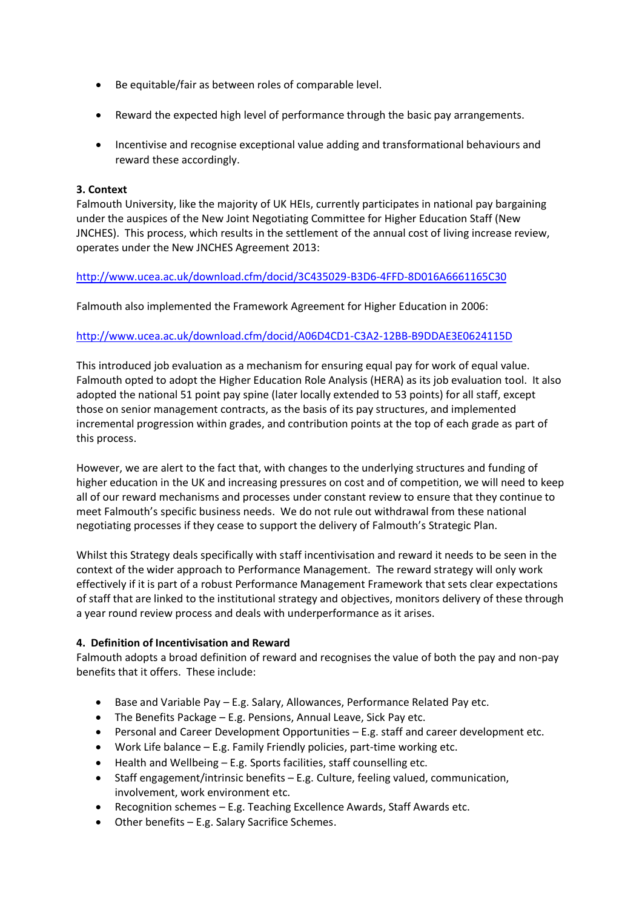- Be equitable/fair as between roles of comparable level.
- Reward the expected high level of performance through the basic pay arrangements.
- Incentivise and recognise exceptional value adding and transformational behaviours and reward these accordingly.

#### **3. Context**

Falmouth University, like the majority of UK HEIs, currently participates in national pay bargaining under the auspices of the New Joint Negotiating Committee for Higher Education Staff (New JNCHES). This process, which results in the settlement of the annual cost of living increase review, operates under the New JNCHES Agreement 2013:

### <http://www.ucea.ac.uk/download.cfm/docid/3C435029-B3D6-4FFD-8D016A6661165C30>

Falmouth also implemented the Framework Agreement for Higher Education in 2006:

### <http://www.ucea.ac.uk/download.cfm/docid/A06D4CD1-C3A2-12BB-B9DDAE3E0624115D>

This introduced job evaluation as a mechanism for ensuring equal pay for work of equal value. Falmouth opted to adopt the Higher Education Role Analysis (HERA) as its job evaluation tool. It also adopted the national 51 point pay spine (later locally extended to 53 points) for all staff, except those on senior management contracts, as the basis of its pay structures, and implemented incremental progression within grades, and contribution points at the top of each grade as part of this process.

However, we are alert to the fact that, with changes to the underlying structures and funding of higher education in the UK and increasing pressures on cost and of competition, we will need to keep all of our reward mechanisms and processes under constant review to ensure that they continue to meet Falmouth's specific business needs. We do not rule out withdrawal from these national negotiating processes if they cease to support the delivery of Falmouth's Strategic Plan.

Whilst this Strategy deals specifically with staff incentivisation and reward it needs to be seen in the context of the wider approach to Performance Management. The reward strategy will only work effectively if it is part of a robust Performance Management Framework that sets clear expectations of staff that are linked to the institutional strategy and objectives, monitors delivery of these through a year round review process and deals with underperformance as it arises.

#### **4. Definition of Incentivisation and Reward**

Falmouth adopts a broad definition of reward and recognises the value of both the pay and non-pay benefits that it offers. These include:

- Base and Variable Pay E.g. Salary, Allowances, Performance Related Pay etc.
- The Benefits Package E.g. Pensions, Annual Leave, Sick Pay etc.
- **Personal and Career Development Opportunities E.g. staff and career development etc.**
- Work Life balance E.g. Family Friendly policies, part-time working etc.
- Health and Wellbeing E.g. Sports facilities, staff counselling etc.
- Staff engagement/intrinsic benefits E.g. Culture, feeling valued, communication, involvement, work environment etc.
- Recognition schemes E.g. Teaching Excellence Awards, Staff Awards etc.
- Other benefits E.g. Salary Sacrifice Schemes.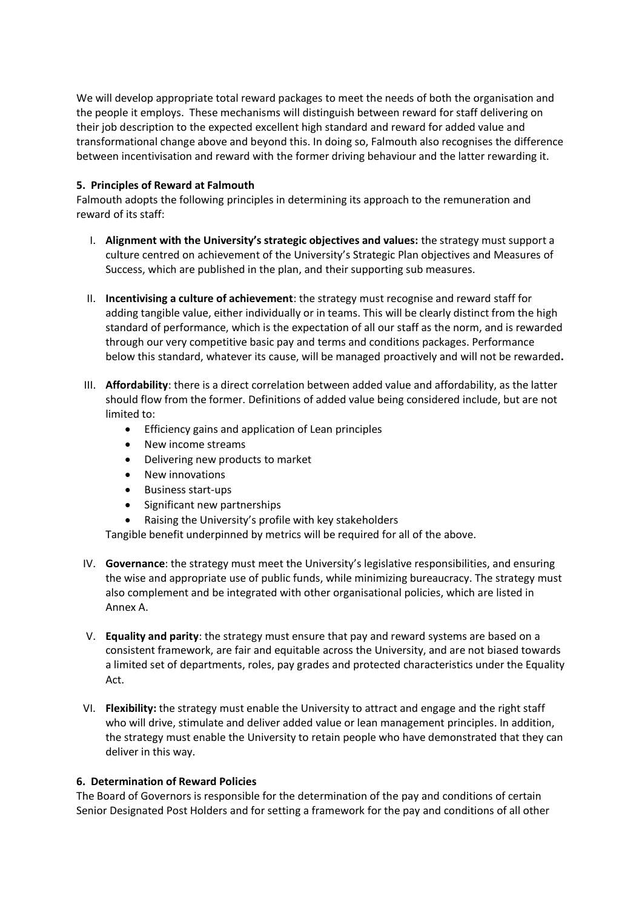We will develop appropriate total reward packages to meet the needs of both the organisation and the people it employs. These mechanisms will distinguish between reward for staff delivering on their job description to the expected excellent high standard and reward for added value and transformational change above and beyond this. In doing so, Falmouth also recognises the difference between incentivisation and reward with the former driving behaviour and the latter rewarding it.

#### **5. Principles of Reward at Falmouth**

Falmouth adopts the following principles in determining its approach to the remuneration and reward of its staff:

- I. **Alignment with the University's strategic objectives and values:** the strategy must support a culture centred on achievement of the University's Strategic Plan objectives and Measures of Success, which are published in the plan, and their supporting sub measures.
- II. **Incentivising a culture of achievement**: the strategy must recognise and reward staff for adding tangible value, either individually or in teams. This will be clearly distinct from the high standard of performance, which is the expectation of all our staff as the norm, and is rewarded through our very competitive basic pay and terms and conditions packages. Performance below this standard, whatever its cause, will be managed proactively and will not be rewarded**.**
- III. **Affordability**: there is a direct correlation between added value and affordability, as the latter should flow from the former. Definitions of added value being considered include, but are not limited to:
	- **•** Efficiency gains and application of Lean principles
	- New income streams
	- Delivering new products to market
	- New innovations
	- Business start-ups
	- Significant new partnerships
	- Raising the University's profile with key stakeholders
	- Tangible benefit underpinned by metrics will be required for all of the above.
- IV. **Governance**: the strategy must meet the University's legislative responsibilities, and ensuring the wise and appropriate use of public funds, while minimizing bureaucracy. The strategy must also complement and be integrated with other organisational policies, which are listed in Annex A.
- V. **Equality and parity**: the strategy must ensure that pay and reward systems are based on a consistent framework, are fair and equitable across the University, and are not biased towards a limited set of departments, roles, pay grades and protected characteristics under the Equality Act.
- VI. **Flexibility:** the strategy must enable the University to attract and engage and the right staff who will drive, stimulate and deliver added value or lean management principles. In addition, the strategy must enable the University to retain people who have demonstrated that they can deliver in this way.

### **6. Determination of Reward Policies**

The Board of Governors is responsible for the determination of the pay and conditions of certain Senior Designated Post Holders and for setting a framework for the pay and conditions of all other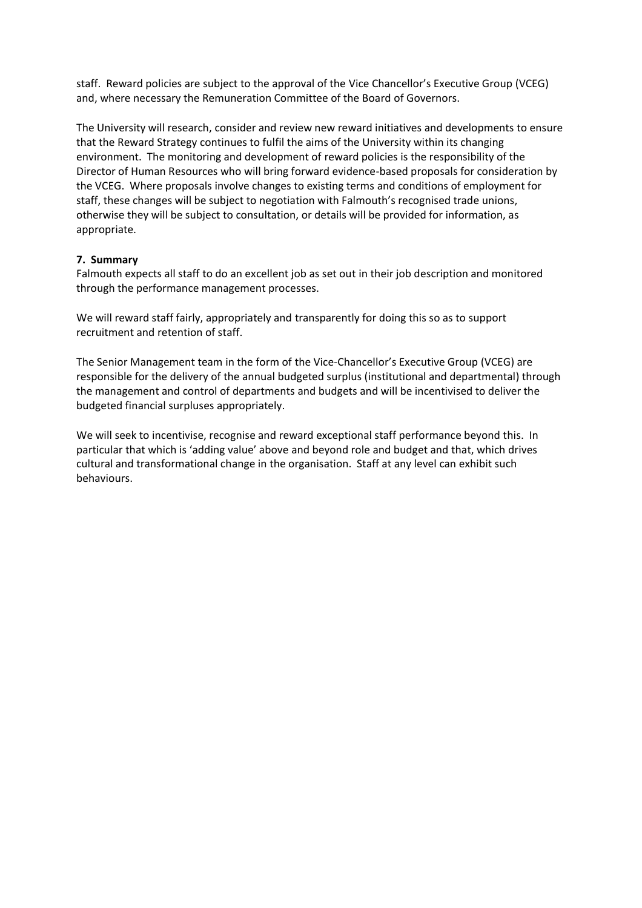staff. Reward policies are subject to the approval of the Vice Chancellor's Executive Group (VCEG) and, where necessary the Remuneration Committee of the Board of Governors.

The University will research, consider and review new reward initiatives and developments to ensure that the Reward Strategy continues to fulfil the aims of the University within its changing environment. The monitoring and development of reward policies is the responsibility of the Director of Human Resources who will bring forward evidence-based proposals for consideration by the VCEG. Where proposals involve changes to existing terms and conditions of employment for staff, these changes will be subject to negotiation with Falmouth's recognised trade unions, otherwise they will be subject to consultation, or details will be provided for information, as appropriate.

#### **7. Summary**

Falmouth expects all staff to do an excellent job as set out in their job description and monitored through the performance management processes.

We will reward staff fairly, appropriately and transparently for doing this so as to support recruitment and retention of staff.

The Senior Management team in the form of the Vice-Chancellor's Executive Group (VCEG) are responsible for the delivery of the annual budgeted surplus (institutional and departmental) through the management and control of departments and budgets and will be incentivised to deliver the budgeted financial surpluses appropriately.

We will seek to incentivise, recognise and reward exceptional staff performance beyond this. In particular that which is 'adding value' above and beyond role and budget and that, which drives cultural and transformational change in the organisation. Staff at any level can exhibit such behaviours.